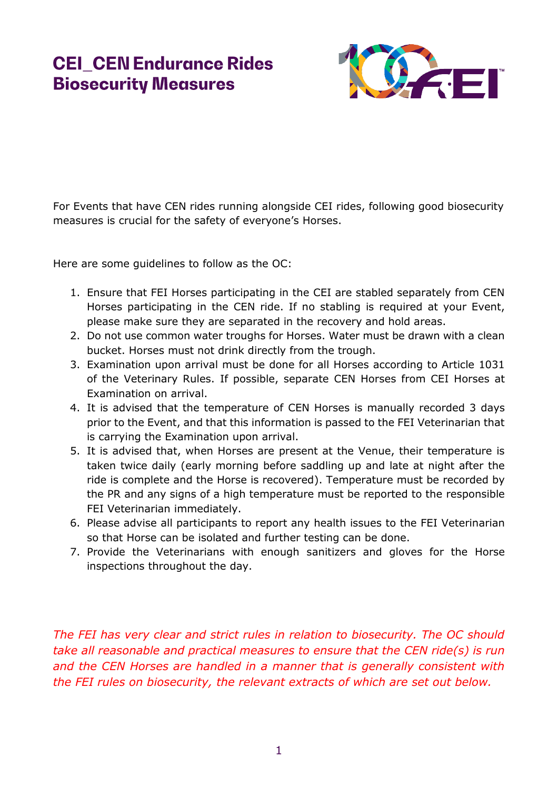

For Events that have CEN rides running alongside CEI rides, following good biosecurity measures is crucial for the safety of everyone's Horses.

Here are some guidelines to follow as the OC:

- 1. Ensure that FEI Horses participating in the CEI are stabled separately from CEN Horses participating in the CEN ride. If no stabling is required at your Event, please make sure they are separated in the recovery and hold areas.
- 2. Do not use common water troughs for Horses. Water must be drawn with a clean bucket. Horses must not drink directly from the trough.
- 3. Examination upon arrival must be done for all Horses according to Article 1031 of the Veterinary Rules. If possible, separate CEN Horses from CEI Horses at Examination on arrival.
- 4. It is advised that the temperature of CEN Horses is manually recorded 3 days prior to the Event, and that this information is passed to the FEI Veterinarian that is carrying the Examination upon arrival.
- 5. It is advised that, when Horses are present at the Venue, their temperature is taken twice daily (early morning before saddling up and late at night after the ride is complete and the Horse is recovered). Temperature must be recorded by the PR and any signs of a high temperature must be reported to the responsible FEI Veterinarian immediately.
- 6. Please advise all participants to report any health issues to the FEI Veterinarian so that Horse can be isolated and further testing can be done.
- 7. Provide the Veterinarians with enough sanitizers and gloves for the Horse inspections throughout the day.

*The FEI has very clear and strict rules in relation to biosecurity. The OC should take all reasonable and practical measures to ensure that the CEN ride(s) is run and the CEN Horses are handled in a manner that is generally consistent with the FEI rules on biosecurity, the relevant extracts of which are set out below.*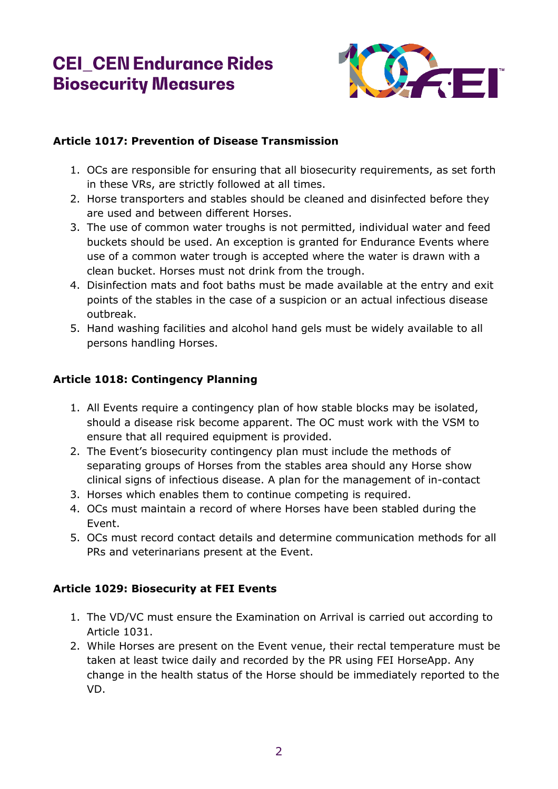

### **Article 1017: Prevention of Disease Transmission**

- 1. OCs are responsible for ensuring that all biosecurity requirements, as set forth in these VRs, are strictly followed at all times.
- 2. Horse transporters and stables should be cleaned and disinfected before they are used and between different Horses.
- 3. The use of common water troughs is not permitted, individual water and feed buckets should be used. An exception is granted for Endurance Events where use of a common water trough is accepted where the water is drawn with a clean bucket. Horses must not drink from the trough.
- 4. Disinfection mats and foot baths must be made available at the entry and exit points of the stables in the case of a suspicion or an actual infectious disease outbreak.
- 5. Hand washing facilities and alcohol hand gels must be widely available to all persons handling Horses.

### **Article 1018: Contingency Planning**

- 1. All Events require a contingency plan of how stable blocks may be isolated, should a disease risk become apparent. The OC must work with the VSM to ensure that all required equipment is provided.
- 2. The Event's biosecurity contingency plan must include the methods of separating groups of Horses from the stables area should any Horse show clinical signs of infectious disease. A plan for the management of in-contact
- 3. Horses which enables them to continue competing is required.
- 4. OCs must maintain a record of where Horses have been stabled during the Event.
- 5. OCs must record contact details and determine communication methods for all PRs and veterinarians present at the Event.

#### **Article 1029: Biosecurity at FEI Events**

- 1. The VD/VC must ensure the Examination on Arrival is carried out according to Article 1031.
- 2. While Horses are present on the Event venue, their rectal temperature must be taken at least twice daily and recorded by the PR using FEI HorseApp. Any change in the health status of the Horse should be immediately reported to the VD.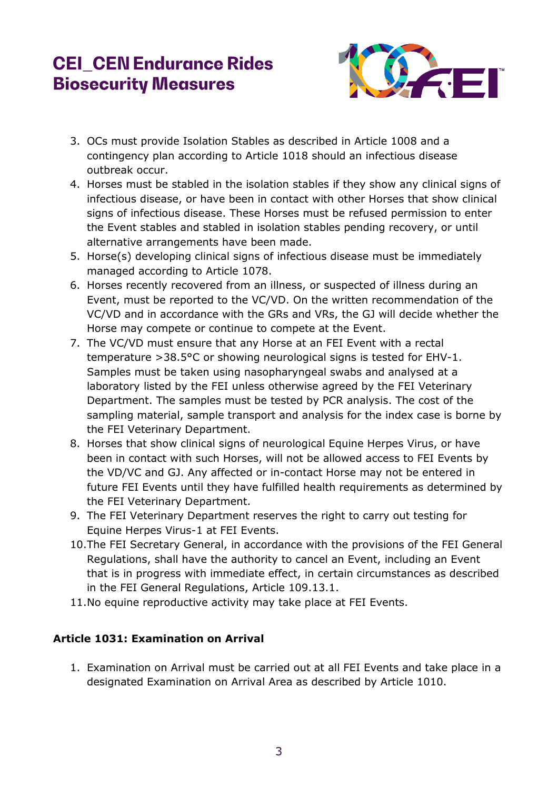

- 3. OCs must provide Isolation Stables as described in Article 1008 and a contingency plan according to Article 1018 should an infectious disease outbreak occur.
- 4. Horses must be stabled in the isolation stables if they show any clinical signs of infectious disease, or have been in contact with other Horses that show clinical signs of infectious disease. These Horses must be refused permission to enter the Event stables and stabled in isolation stables pending recovery, or until alternative arrangements have been made.
- 5. Horse(s) developing clinical signs of infectious disease must be immediately managed according to Article 1078.
- 6. Horses recently recovered from an illness, or suspected of illness during an Event, must be reported to the VC/VD. On the written recommendation of the VC/VD and in accordance with the GRs and VRs, the GJ will decide whether the Horse may compete or continue to compete at the Event.
- 7. The VC/VD must ensure that any Horse at an FEI Event with a rectal temperature >38.5°C or showing neurological signs is tested for EHV-1. Samples must be taken using nasopharyngeal swabs and analysed at a laboratory listed by the FEI unless otherwise agreed by the FEI Veterinary Department. The samples must be tested by PCR analysis. The cost of the sampling material, sample transport and analysis for the index case is borne by the FEI Veterinary Department.
- 8. Horses that show clinical signs of neurological Equine Herpes Virus, or have been in contact with such Horses, will not be allowed access to FEI Events by the VD/VC and GJ. Any affected or in-contact Horse may not be entered in future FEI Events until they have fulfilled health requirements as determined by the FEI Veterinary Department.
- 9. The FEI Veterinary Department reserves the right to carry out testing for Equine Herpes Virus-1 at FEI Events.
- 10.The FEI Secretary General, in accordance with the provisions of the FEI General Regulations, shall have the authority to cancel an Event, including an Event that is in progress with immediate effect, in certain circumstances as described in the FEI General Regulations, Article 109.13.1.
- 11.No equine reproductive activity may take place at FEI Events.

#### **Article 1031: Examination on Arrival**

1. Examination on Arrival must be carried out at all FEI Events and take place in a designated Examination on Arrival Area as described by Article 1010.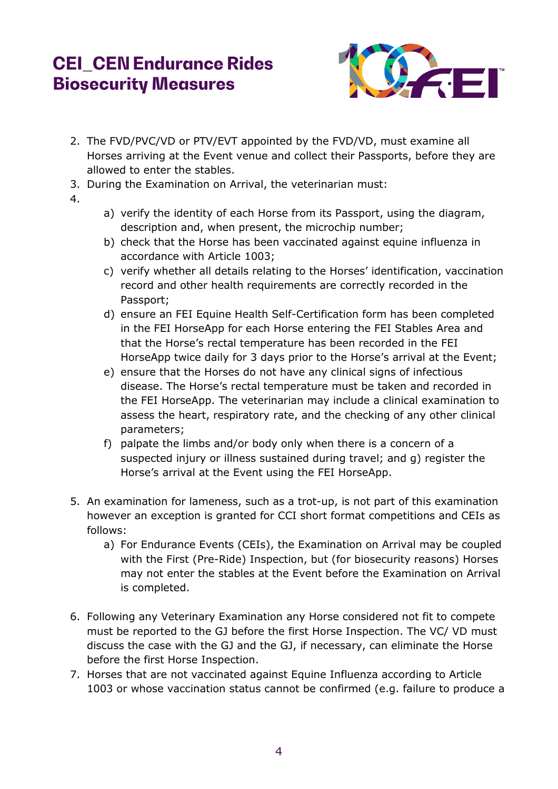

- 2. The FVD/PVC/VD or PTV/EVT appointed by the FVD/VD, must examine all Horses arriving at the Event venue and collect their Passports, before they are allowed to enter the stables.
- 3. During the Examination on Arrival, the veterinarian must:
- 4.
- a) verify the identity of each Horse from its Passport, using the diagram, description and, when present, the microchip number;
- b) check that the Horse has been vaccinated against equine influenza in accordance with Article 1003;
- c) verify whether all details relating to the Horses' identification, vaccination record and other health requirements are correctly recorded in the Passport;
- d) ensure an FEI Equine Health Self-Certification form has been completed in the FEI HorseApp for each Horse entering the FEI Stables Area and that the Horse's rectal temperature has been recorded in the FEI HorseApp twice daily for 3 days prior to the Horse's arrival at the Event;
- e) ensure that the Horses do not have any clinical signs of infectious disease. The Horse's rectal temperature must be taken and recorded in the FEI HorseApp. The veterinarian may include a clinical examination to assess the heart, respiratory rate, and the checking of any other clinical parameters;
- f) palpate the limbs and/or body only when there is a concern of a suspected injury or illness sustained during travel; and g) register the Horse's arrival at the Event using the FEI HorseApp.
- 5. An examination for lameness, such as a trot-up, is not part of this examination however an exception is granted for CCI short format competitions and CEIs as follows:
	- a) For Endurance Events (CEIs), the Examination on Arrival may be coupled with the First (Pre-Ride) Inspection, but (for biosecurity reasons) Horses may not enter the stables at the Event before the Examination on Arrival is completed.
- 6. Following any Veterinary Examination any Horse considered not fit to compete must be reported to the GJ before the first Horse Inspection. The VC/ VD must discuss the case with the GJ and the GJ, if necessary, can eliminate the Horse before the first Horse Inspection.
- 7. Horses that are not vaccinated against Equine Influenza according to Article 1003 or whose vaccination status cannot be confirmed (e.g. failure to produce a